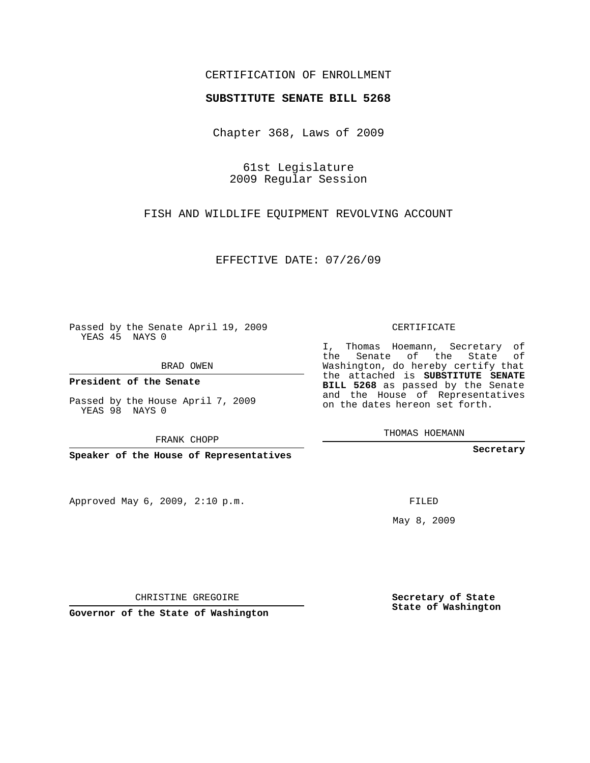## CERTIFICATION OF ENROLLMENT

## **SUBSTITUTE SENATE BILL 5268**

Chapter 368, Laws of 2009

61st Legislature 2009 Regular Session

FISH AND WILDLIFE EQUIPMENT REVOLVING ACCOUNT

EFFECTIVE DATE: 07/26/09

Passed by the Senate April 19, 2009 YEAS 45 NAYS 0

BRAD OWEN

**President of the Senate**

Passed by the House April 7, 2009 YEAS 98 NAYS 0

FRANK CHOPP

**Speaker of the House of Representatives**

Approved May 6, 2009, 2:10 p.m.

CERTIFICATE

I, Thomas Hoemann, Secretary of the Senate of the State of Washington, do hereby certify that the attached is **SUBSTITUTE SENATE BILL 5268** as passed by the Senate and the House of Representatives on the dates hereon set forth.

THOMAS HOEMANN

**Secretary**

FILED

May 8, 2009

**Secretary of State State of Washington**

**Governor of the State of Washington**

CHRISTINE GREGOIRE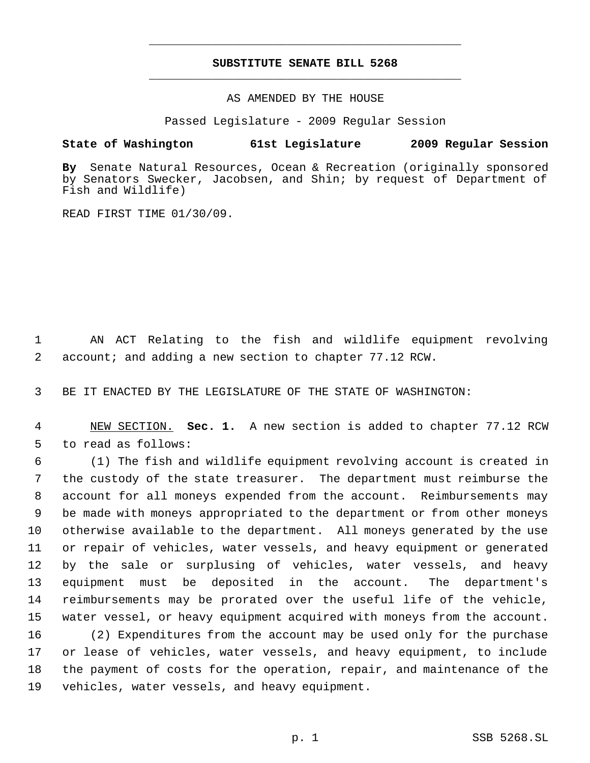## **SUBSTITUTE SENATE BILL 5268** \_\_\_\_\_\_\_\_\_\_\_\_\_\_\_\_\_\_\_\_\_\_\_\_\_\_\_\_\_\_\_\_\_\_\_\_\_\_\_\_\_\_\_\_\_

\_\_\_\_\_\_\_\_\_\_\_\_\_\_\_\_\_\_\_\_\_\_\_\_\_\_\_\_\_\_\_\_\_\_\_\_\_\_\_\_\_\_\_\_\_

AS AMENDED BY THE HOUSE

Passed Legislature - 2009 Regular Session

## **State of Washington 61st Legislature 2009 Regular Session**

**By** Senate Natural Resources, Ocean & Recreation (originally sponsored by Senators Swecker, Jacobsen, and Shin; by request of Department of Fish and Wildlife)

READ FIRST TIME 01/30/09.

 AN ACT Relating to the fish and wildlife equipment revolving account; and adding a new section to chapter 77.12 RCW.

BE IT ENACTED BY THE LEGISLATURE OF THE STATE OF WASHINGTON:

 NEW SECTION. **Sec. 1.** A new section is added to chapter 77.12 RCW to read as follows:

 (1) The fish and wildlife equipment revolving account is created in the custody of the state treasurer. The department must reimburse the account for all moneys expended from the account. Reimbursements may be made with moneys appropriated to the department or from other moneys otherwise available to the department. All moneys generated by the use or repair of vehicles, water vessels, and heavy equipment or generated by the sale or surplusing of vehicles, water vessels, and heavy equipment must be deposited in the account. The department's reimbursements may be prorated over the useful life of the vehicle, water vessel, or heavy equipment acquired with moneys from the account.

 (2) Expenditures from the account may be used only for the purchase or lease of vehicles, water vessels, and heavy equipment, to include the payment of costs for the operation, repair, and maintenance of the vehicles, water vessels, and heavy equipment.